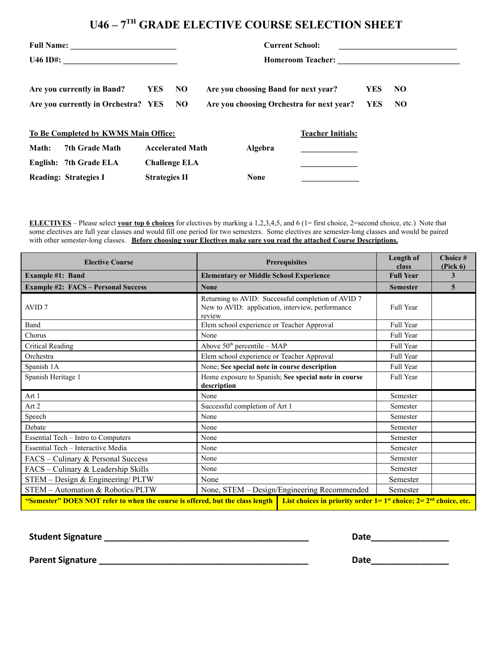## **U46 – 7 TH GRADE ELECTIVE COURSE SELECTION SHEET**

| Full Name:<br><b>U46 ID#:</b>                                                   |                              |                      | <b>Current School:</b><br><b>Homeroom Teacher:</b> |                                                                                   |             |                          |                      |  |
|---------------------------------------------------------------------------------|------------------------------|----------------------|----------------------------------------------------|-----------------------------------------------------------------------------------|-------------|--------------------------|----------------------|--|
| Are you currently in Band?<br><b>YES</b><br>Are you currently in Orchestra? YES |                              |                      | NO<br>NO.                                          | Are you choosing Band for next year?<br>Are you choosing Orchestra for next year? |             | <b>YES</b><br><b>YES</b> | N <sub>O</sub><br>NO |  |
| To Be Completed by KWMS Main Office:                                            |                              |                      |                                                    |                                                                                   |             | <b>Teacher Initials:</b> |                      |  |
| Math:                                                                           | <b>7th Grade Math</b>        |                      | <b>Accelerated Math</b>                            |                                                                                   | Algebra     |                          |                      |  |
|                                                                                 | English: 7th Grade ELA       |                      | <b>Challenge ELA</b>                               |                                                                                   |             |                          |                      |  |
|                                                                                 | <b>Reading: Strategies I</b> | <b>Strategies II</b> |                                                    |                                                                                   | <b>None</b> |                          |                      |  |

**ELECTIVES** – Please select **your top 6 choices** for electives by marking a 1,2,3,4,5, and 6 (1= first choice, 2=second choice, etc.) Note that some electives are full year classes and would fill one period for two semesters. Some electives are semester-long classes and would be paired with other semester-long classes. **Before choosing your Electives make sure you read the attached Course Descriptions.**

| <b>Elective Course</b>                                                                                                                                         | <b>Prerequisites</b>                                                                                             | Length of<br>class | Choice #<br>(Pick 6) |  |  |  |
|----------------------------------------------------------------------------------------------------------------------------------------------------------------|------------------------------------------------------------------------------------------------------------------|--------------------|----------------------|--|--|--|
| <b>Example #1: Band</b>                                                                                                                                        | <b>Elementary or Middle School Experience</b>                                                                    | <b>Full Year</b>   | 3                    |  |  |  |
| <b>Example #2: FACS - Personal Success</b>                                                                                                                     | <b>None</b>                                                                                                      | <b>Semester</b>    | 5                    |  |  |  |
| AVID <sub>7</sub>                                                                                                                                              | Returning to AVID: Successful completion of AVID 7<br>New to AVID: application, interview, performance<br>review | Full Year          |                      |  |  |  |
| Band                                                                                                                                                           | Elem school experience or Teacher Approval                                                                       | Full Year          |                      |  |  |  |
| Chorus                                                                                                                                                         | None                                                                                                             | Full Year          |                      |  |  |  |
| Critical Reading                                                                                                                                               | Above $50th$ percentile – MAP                                                                                    | Full Year          |                      |  |  |  |
| Orchestra                                                                                                                                                      | Elem school experience or Teacher Approval                                                                       | Full Year          |                      |  |  |  |
| Spanish 1A                                                                                                                                                     | None; See special note in course description                                                                     | Full Year          |                      |  |  |  |
| Spanish Heritage 1                                                                                                                                             | Home exposure to Spanish; See special note in course<br>description                                              | Full Year          |                      |  |  |  |
| Art 1                                                                                                                                                          | None                                                                                                             | Semester           |                      |  |  |  |
| Art 2                                                                                                                                                          | Successful completion of Art 1                                                                                   | Semester           |                      |  |  |  |
| Speech                                                                                                                                                         | None                                                                                                             | Semester           |                      |  |  |  |
| Debate                                                                                                                                                         | None                                                                                                             | Semester           |                      |  |  |  |
| Essential Tech – Intro to Computers                                                                                                                            | None                                                                                                             | Semester           |                      |  |  |  |
| Essential Tech - Interactive Media                                                                                                                             | None                                                                                                             | Semester           |                      |  |  |  |
| FACS – Culinary & Personal Success                                                                                                                             | None                                                                                                             | Semester           |                      |  |  |  |
| FACS – Culinary & Leadership Skills                                                                                                                            | None                                                                                                             | Semester           |                      |  |  |  |
| STEM - Design & Engineering/ PLTW                                                                                                                              | None                                                                                                             | Semester           |                      |  |  |  |
| STEM - Automation & Robotics/PLTW                                                                                                                              | None, STEM - Design/Engineering Recommended                                                                      | Semester           |                      |  |  |  |
| "Semester" DOES NOT refer to when the course is offered, but the class length<br>List choices in priority order $1 = 1^{st}$ choice; $2 = 2^{nd}$ choice, etc. |                                                                                                                  |                    |                      |  |  |  |

**Student Signature \_\_\_\_\_\_\_\_\_\_\_\_\_\_\_\_\_\_\_\_\_\_\_\_\_\_\_\_\_\_\_\_\_\_\_\_\_\_\_\_\_\_ Date\_\_\_\_\_\_\_\_\_\_\_\_\_\_\_\_**

**Parent Signature \_\_\_\_\_\_\_\_\_\_\_\_\_\_\_\_\_\_\_\_\_\_\_\_\_\_\_\_\_\_\_\_\_\_\_\_\_\_\_\_\_\_\_ Date\_\_\_\_\_\_\_\_\_\_\_\_\_\_\_\_**